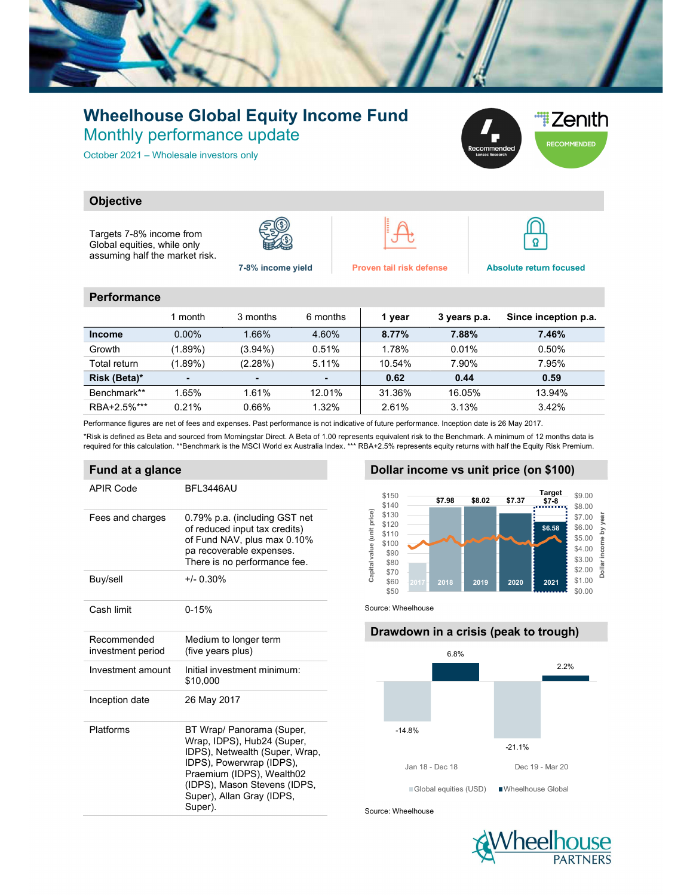

## Wheelhouse Global Equity Income Fund Monthly performance update

October 2021 – Wholesale investors only



### **Objective**

Targets 7-8% income from Global equities, while only assuming half the market risk.







 $\boldsymbol{\Omega}$ 

#### **Performance**

|               | 1 month        | 3 months   | 6 months  | 1 year | 3 years p.a. | Since inception p.a. |
|---------------|----------------|------------|-----------|--------|--------------|----------------------|
| <b>Income</b> | $0.00\%$       | 1.66%      | 4.60%     | 8.77%  | 7.88%        | 7.46%                |
| Growth        | (1.89%)        | $(3.94\%)$ | 0.51%     | 1.78%  | 0.01%        | 0.50%                |
| Total return  | (1.89%)        | $(2.28\%)$ | 5.11%     | 10.54% | 7.90%        | 7.95%                |
| Risk (Beta)*  | $\blacksquare$ |            |           | 0.62   | 0.44         | 0.59                 |
| Benchmark**   | 1.65%          | 1.61%      | $12.01\%$ | 31.36% | 16.05%       | 13.94%               |
| RBA+2.5%***   | 0.21%          | 0.66%      | 1.32%     | 2.61%  | 3.13%        | 3.42%                |

Performance figures are net of fees and expenses. Past performance is not indicative of future performance. Inception date is 26 May 2017.

\*Risk is defined as Beta and sourced from Morningstar Direct. A Beta of 1.00 represents equivalent risk to the Benchmark. A minimum of 12 months data is required for this calculation. \*\*Benchmark is the MSCI World ex Australia Index. \*\*\* RBA+2.5% represents equity returns with half the Equity Risk Premium.

#### Fund at a glance

| APIR Code                        | BFL3446AU                                                                                                                                                                                                                  |
|----------------------------------|----------------------------------------------------------------------------------------------------------------------------------------------------------------------------------------------------------------------------|
| Fees and charges                 | 0.79% p.a. (including GST net<br>of reduced input tax credits)<br>of Fund NAV, plus max 0.10%<br>pa recoverable expenses.<br>There is no performance fee.                                                                  |
| Buy/sell                         | $+/- 0.30%$                                                                                                                                                                                                                |
| Cash limit                       | $0 - 15%$                                                                                                                                                                                                                  |
| Recommended<br>investment period | Medium to longer term<br>(five years plus)                                                                                                                                                                                 |
| Investment amount                | Initial investment minimum:<br>\$10,000                                                                                                                                                                                    |
| Inception date                   | 26 May 2017                                                                                                                                                                                                                |
| Platforms                        | BT Wrap/ Panorama (Super,<br>Wrap, IDPS), Hub24 (Super,<br>IDPS), Netwealth (Super, Wrap,<br>IDPS), Powerwrap (IDPS),<br>Praemium (IDPS), Wealth02<br>(IDPS), Mason Stevens (IDPS,<br>Super), Allan Gray (IDPS,<br>Super). |

#### Dollar income vs unit price (on \$100)



Source: Wheelhouse

# Drawdown in a crisis (peak to trough) -14.8% -21.1% 6.8% 2.2% 17 37.98 58.02 57.37 Target<br>
57.98 58.02 57.37 Target<br>
58.58 58.00<br>
58.58 58.00<br>
58.58 58.00<br>
58.68 58.00<br>
58.68 58.00<br>
2017 2018 2019 2020<br>
2020 2021 51.00<br>
2020 2021 51.00<br>
52.00 5<br>
52.00 5<br>
52.00 5<br>
53.00 5<br>
53.00 5<br>
53 Global equities (USD) Wheelhouse Global

Source: Wheelhouse